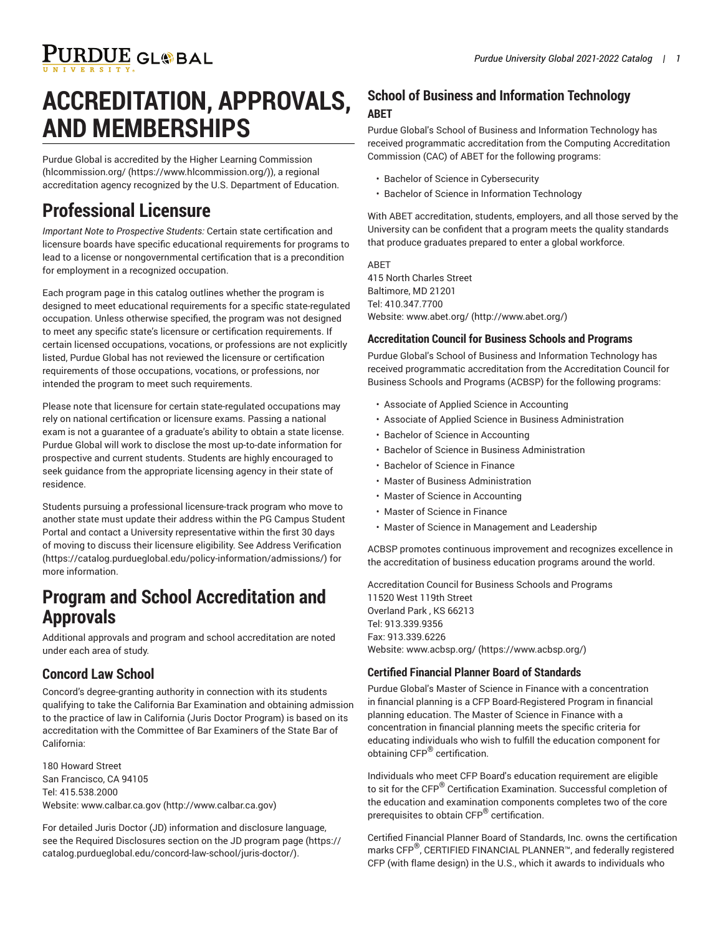# PURDUE GL®BAL

# **ACCREDITATION, APPROVALS, AND MEMBERSHIPS**

Purdue Global is accredited by the Higher Learning Commission ([hlcommission.org/ \(https://www.hlcommission.org/](https://www.hlcommission.org/))), a regional accreditation agency recognized by the U.S. Department of Education.

## **Professional Licensure**

*Important Note to Prospective Students:* Certain state certification and licensure boards have specific educational requirements for programs to lead to a license or nongovernmental certification that is a precondition for employment in a recognized occupation.

Each program page in this catalog outlines whether the program is designed to meet educational requirements for a specific state-regulated occupation. Unless otherwise specified, the program was not designed to meet any specific state's licensure or certification requirements. If certain licensed occupations, vocations, or professions are not explicitly listed, Purdue Global has not reviewed the licensure or certification requirements of those occupations, vocations, or professions, nor intended the program to meet such requirements.

Please note that licensure for certain state-regulated occupations may rely on national certification or licensure exams. Passing a national exam is not a guarantee of a graduate's ability to obtain a state license. Purdue Global will work to disclose the most up-to-date information for prospective and current students. Students are highly encouraged to seek guidance from the appropriate licensing agency in their state of residence.

Students pursuing a professional licensure-track program who move to another state must update their address within the PG Campus Student Portal and contact a University representative within the first 30 days of moving to discuss their licensure eligibility. See Address [Verification](https://catalog.purdueglobal.edu/policy-information/admissions/) ([https://catalog.purdueglobal.edu/policy-information/admissions/\)](https://catalog.purdueglobal.edu/policy-information/admissions/) for more information.

## **Program and School Accreditation and Approvals**

Additional approvals and program and school accreditation are noted under each area of study.

### **Concord Law School**

Concord's degree-granting authority in connection with its students qualifying to take the California Bar Examination and obtaining admission to the practice of law in California (Juris Doctor Program) is based on its accreditation with the Committee of Bar Examiners of the State Bar of California:

180 Howard Street San Francisco, CA 94105 Tel: 415.538.2000 Website: [www.calbar.ca.gov](http://www.calbar.ca.gov) ([http://www.calbar.ca.gov\)](http://www.calbar.ca.gov)

For detailed Juris Doctor (JD) information and disclosure language, see the Required Disclosures section on the JD [program](https://catalog.purdueglobal.edu/concord-law-school/juris-doctor/) page ([https://](https://catalog.purdueglobal.edu/concord-law-school/juris-doctor/) [catalog.purdueglobal.edu/concord-law-school/juris-doctor/\)](https://catalog.purdueglobal.edu/concord-law-school/juris-doctor/).

### **School of Business and Information Technology ABET**

Purdue Global's School of Business and Information Technology has received programmatic accreditation from the Computing Accreditation Commission (CAC) of ABET for the following programs:

- Bachelor of Science in Cybersecurity
- Bachelor of Science in Information Technology

With ABET accreditation, students, employers, and all those served by the University can be confident that a program meets the quality standards that produce graduates prepared to enter a global workforce.

ABET 415 North Charles Street Baltimore, MD 21201 Tel: 410.347.7700 Website: [www.abet.org/](http://www.abet.org/) (<http://www.abet.org/>)

#### **Accreditation Council for Business Schools and Programs**

Purdue Global's School of Business and Information Technology has received programmatic accreditation from the Accreditation Council for Business Schools and Programs (ACBSP) for the following programs:

- Associate of Applied Science in Accounting
- Associate of Applied Science in Business Administration
- Bachelor of Science in Accounting
- Bachelor of Science in Business Administration
- Bachelor of Science in Finance
- Master of Business Administration
- Master of Science in Accounting
- Master of Science in Finance
- Master of Science in Management and Leadership

ACBSP promotes continuous improvement and recognizes excellence in the accreditation of business education programs around the world.

Accreditation Council for Business Schools and Programs 11520 West 119th Street Overland Park , KS 66213 Tel: 913.339.9356 Fax: 913.339.6226 Website: [www.acbsp.org/](https://www.acbsp.org/) (<https://www.acbsp.org/>)

#### **Certified Financial Planner Board of Standards**

Purdue Global's Master of Science in Finance with a concentration in financial planning is a CFP Board-Registered Program in financial planning education. The Master of Science in Finance with a concentration in financial planning meets the specific criteria for educating individuals who wish to fulfill the education component for obtaining CFP® certification.

Individuals who meet CFP Board's education requirement are eligible to sit for the CFP $^\circledR$  Certification Examination. Successful completion of the education and examination components completes two of the core prerequisites to obtain CFP® certification.

Certified Financial Planner Board of Standards, Inc. owns the certification marks CFP $^\circledR$ , CERTIFIED FINANCIAL PLANNER™, and federally registered CFP (with flame design) in the U.S., which it awards to individuals who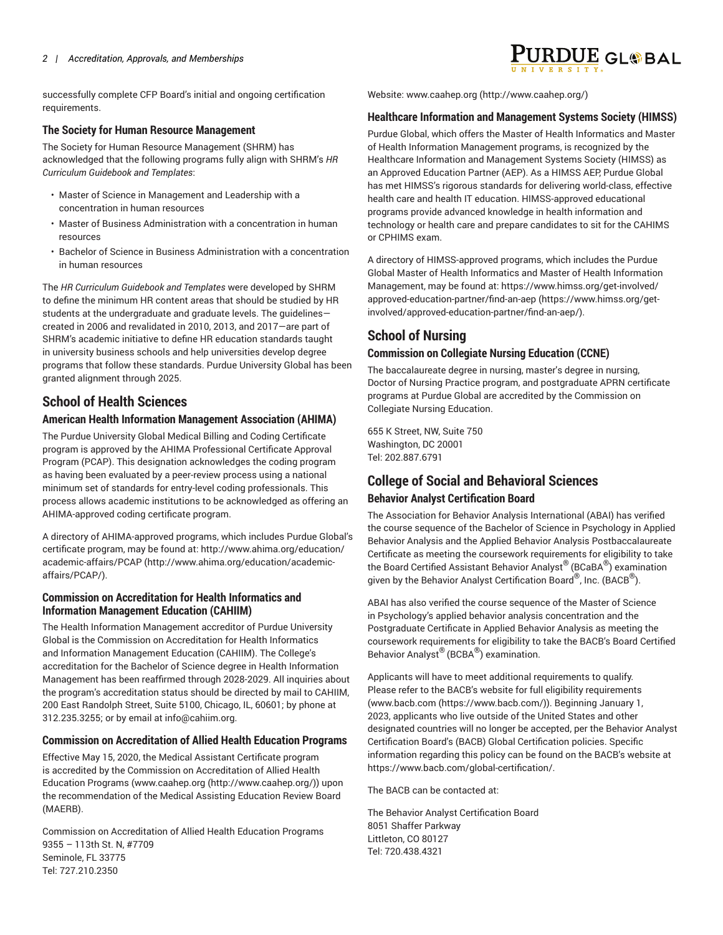successfully complete CFP Board's initial and ongoing certification requirements.

#### **The Society for Human Resource Management**

The Society for Human Resource Management (SHRM) has acknowledged that the following programs fully align with SHRM's *HR Curriculum Guidebook and Templates*:

- Master of Science in Management and Leadership with a concentration in human resources
- Master of Business Administration with a concentration in human resources
- Bachelor of Science in Business Administration with a concentration in human resources

The *HR Curriculum Guidebook and Templates* were developed by SHRM to define the minimum HR content areas that should be studied by HR students at the undergraduate and graduate levels. The guidelines created in 2006 and revalidated in 2010, 2013, and 2017—are part of SHRM's academic initiative to define HR education standards taught in university business schools and help universities develop degree programs that follow these standards. Purdue University Global has been granted alignment through 2025.

### **School of Health Sciences**

#### **American Health Information Management Association (AHIMA)**

The Purdue University Global Medical Billing and Coding Certificate program is approved by the AHIMA Professional Certificate Approval Program (PCAP). This designation acknowledges the coding program as having been evaluated by a peer-review process using a national minimum set of standards for entry-level coding professionals. This process allows academic institutions to be acknowledged as offering an AHIMA-approved coding certificate program.

A directory of AHIMA-approved programs, which includes Purdue Global's certificate program, may be found at: [http://www.ahima.org/education/](http://www.ahima.org/education/academic-affairs/PCAP/) [academic-affairs/PCAP](http://www.ahima.org/education/academic-affairs/PCAP/) ([http://www.ahima.org/education/academic](http://www.ahima.org/education/academic-affairs/PCAP/)[affairs/PCAP/](http://www.ahima.org/education/academic-affairs/PCAP/)).

#### **Commission on Accreditation for Health Informatics and Information Management Education (CAHIIM)**

The Health Information Management accreditor of Purdue University Global is the Commission on Accreditation for Health Informatics and Information Management Education (CAHIIM). The College's accreditation for the Bachelor of Science degree in Health Information Management has been reaffirmed through 2028-2029. All inquiries about the program's accreditation status should be directed by mail to CAHIIM, 200 East Randolph Street, Suite 5100, Chicago, IL, 60601; by phone at 312.235.3255; or by email at [info@cahiim.org.](mailto:info@cahiim.org)

#### **Commission on Accreditation of Allied Health Education Programs**

Effective May 15, 2020, the Medical Assistant Certificate program is accredited by the Commission on Accreditation of Allied Health Education Programs ([www.caahep.org](http://www.caahep.org/) (<http://www.caahep.org/>)) upon the recommendation of the Medical Assisting Education Review Board (MAERB).

Commission on Accreditation of Allied Health Education Programs 9355 – 113th St. N, #7709 Seminole, FL 33775 Tel: 727.210.2350

Website: [www.caahep.org](http://www.caahep.org/) ([http://www.caahep.org/\)](http://www.caahep.org/)

#### **Healthcare Information and Management Systems Society (HIMSS)**

Purdue Global, which offers the Master of Health Informatics and Master of Health Information Management programs, is recognized by the Healthcare Information and Management Systems Society (HIMSS) as an Approved Education Partner (AEP). As a HIMSS AEP, Purdue Global has met HIMSS's rigorous standards for delivering world-class, effective health care and health IT education. HIMSS-approved educational programs provide advanced knowledge in health information and technology or health care and prepare candidates to sit for the CAHIMS or CPHIMS exam.

A directory of HIMSS-approved programs, which includes the Purdue Global Master of Health Informatics and Master of Health Information Management, may be found at: [https://www.himss.org/get-involved/](https://www.himss.org/get-involved/approved-education-partner/find-an-aep/) [approved-education-partner/find-an-aep](https://www.himss.org/get-involved/approved-education-partner/find-an-aep/) ([https://www.himss.org/get](https://www.himss.org/get-involved/approved-education-partner/find-an-aep/)[involved/approved-education-partner/find-an-aep/\)](https://www.himss.org/get-involved/approved-education-partner/find-an-aep/).

## **School of Nursing**

#### **Commission on Collegiate Nursing Education (CCNE)**

The baccalaureate degree in nursing, master's degree in nursing, Doctor of Nursing Practice program, and postgraduate APRN certificate programs at Purdue Global are accredited by the Commission on Collegiate Nursing Education.

655 K Street, NW, Suite 750 Washington, DC 20001 Tel: 202.887.6791

## **College of Social and Behavioral Sciences**

#### **Behavior Analyst Certification Board**

The Association for Behavior Analysis International (ABAI) has verified the course sequence of the Bachelor of Science in Psychology in Applied Behavior Analysis and the Applied Behavior Analysis Postbaccalaureate Certificate as meeting the coursework requirements for eligibility to take the Board Certified Assistant Behavior Analyst ® (BCaBA® ) examination given by the Behavior Analyst Certification Board $^\circledR$ , Inc. (BACB $^\circledR)$ .

ABAI has also verified the course sequence of the Master of Science in Psychology's applied behavior analysis concentration and the Postgraduate Certificate in Applied Behavior Analysis as meeting the coursework requirements for eligibility to take the BACB's Board Certified Behavior Analyst ® (BCBA® ) examination.

Applicants will have to meet additional requirements to qualify. Please refer to the BACB's website for full eligibility requirements [\(www.bacb.com](https://www.bacb.com/) [\(https://www.bacb.com/](https://www.bacb.com/))). Beginning January 1, 2023, applicants who live outside of the United States and other designated countries will no longer be accepted, per the Behavior Analyst Certification Board's (BACB) Global Certification policies. Specific information regarding this policy can be found on the BACB's website at <https://www.bacb.com/global-certification/>.

The BACB can be contacted at:

The Behavior Analyst Certification Board 8051 Shaffer Parkway Littleton, CO 80127 Tel: 720.438.4321

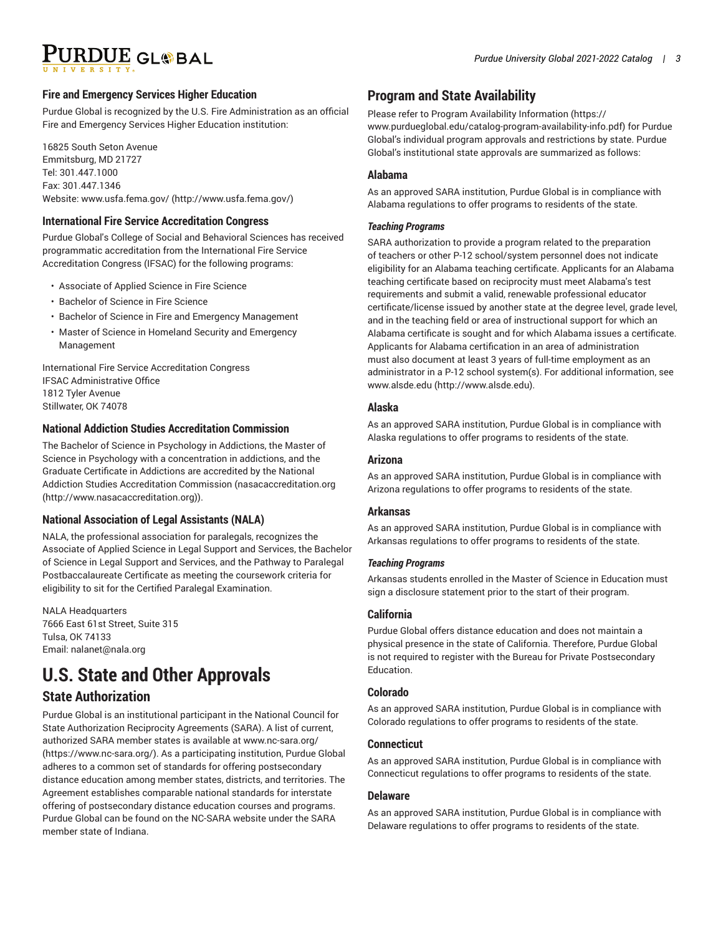# PURDUE GL®BAL

#### **Fire and Emergency Services Higher Education**

Purdue Global is recognized by the U.S. Fire Administration as an official Fire and Emergency Services Higher Education institution:

16825 South Seton Avenue Emmitsburg, MD 21727 Tel: 301.447.1000 Fax: 301.447.1346 Website: [www.usfa.fema.gov/](http://www.usfa.fema.gov/) [\(http://www.usfa.fema.gov/\)](http://www.usfa.fema.gov/)

#### **International Fire Service Accreditation Congress**

Purdue Global's College of Social and Behavioral Sciences has received programmatic accreditation from the International Fire Service Accreditation Congress (IFSAC) for the following programs:

- Associate of Applied Science in Fire Science
- Bachelor of Science in Fire Science
- Bachelor of Science in Fire and Emergency Management
- Master of Science in Homeland Security and Emergency Management

International Fire Service Accreditation Congress IFSAC Administrative Office 1812 Tyler Avenue Stillwater, OK 74078

#### **National Addiction Studies Accreditation Commission**

The Bachelor of Science in Psychology in Addictions, the Master of Science in Psychology with a concentration in addictions, and the Graduate Certificate in Addictions are accredited by the National Addiction Studies Accreditation Commission [\(nasacaccreditation.org](http://www.nasacaccreditation.org) ([http://www.nasacaccreditation.org\)](http://www.nasacaccreditation.org)).

#### **National Association of Legal Assistants (NALA)**

NALA, the professional association for paralegals, recognizes the Associate of Applied Science in Legal Support and Services, the Bachelor of Science in Legal Support and Services, and the Pathway to Paralegal Postbaccalaureate Certificate as meeting the coursework criteria for eligibility to sit for the Certified Paralegal Examination.

NALA Headquarters 7666 East 61st Street, Suite 315 Tulsa, OK 74133 Email: [nalanet@nala.org](mailto:nalanet@nala.org)

# **U.S. State and Other Approvals**

### **State Authorization**

Purdue Global is an institutional participant in the National Council for State Authorization Reciprocity Agreements (SARA). A list of current, authorized SARA member states is available at [www.nc-sara.org/](https://www.nc-sara.org/) ([https://www.nc-sara.org/\)](https://www.nc-sara.org/). As a participating institution, Purdue Global adheres to a common set of standards for offering postsecondary distance education among member states, districts, and territories. The Agreement establishes comparable national standards for interstate offering of postsecondary distance education courses and programs. Purdue Global can be found on the NC-SARA website under the SARA member state of Indiana.

## **Program and State Availability**

Please refer to Program Availability [Information \(https://](https://www.purdueglobal.edu/catalog-program-availability-info.pdf) [www.purdueglobal.edu/catalog-program-availability-info.pdf](https://www.purdueglobal.edu/catalog-program-availability-info.pdf)) for Purdue Global's individual program approvals and restrictions by state. Purdue Global's institutional state approvals are summarized as follows:

#### **Alabama**

As an approved SARA institution, Purdue Global is in compliance with Alabama regulations to offer programs to residents of the state.

#### *Teaching Programs*

SARA authorization to provide a program related to the preparation of teachers or other P-12 school/system personnel does not indicate eligibility for an Alabama teaching certificate. Applicants for an Alabama teaching certificate based on reciprocity must meet Alabama's test requirements and submit a valid, renewable professional educator certificate/license issued by another state at the degree level, grade level, and in the teaching field or area of instructional support for which an Alabama certificate is sought and for which Alabama issues a certificate. Applicants for Alabama certification in an area of administration must also document at least 3 years of full-time employment as an administrator in a P-12 school system(s). For additional information, see [www.alsde.edu](http://www.alsde.edu) (<http://www.alsde.edu>).

#### **Alaska**

As an approved SARA institution, Purdue Global is in compliance with Alaska regulations to offer programs to residents of the state.

#### **Arizona**

As an approved SARA institution, Purdue Global is in compliance with Arizona regulations to offer programs to residents of the state.

#### **Arkansas**

As an approved SARA institution, Purdue Global is in compliance with Arkansas regulations to offer programs to residents of the state.

#### *Teaching Programs*

Arkansas students enrolled in the Master of Science in Education must sign a disclosure statement prior to the start of their program.

#### **California**

Purdue Global offers distance education and does not maintain a physical presence in the state of California. Therefore, Purdue Global is not required to register with the Bureau for Private Postsecondary Education.

#### **Colorado**

As an approved SARA institution, Purdue Global is in compliance with Colorado regulations to offer programs to residents of the state.

#### **Connecticut**

As an approved SARA institution, Purdue Global is in compliance with Connecticut regulations to offer programs to residents of the state.

#### **Delaware**

As an approved SARA institution, Purdue Global is in compliance with Delaware regulations to offer programs to residents of the state.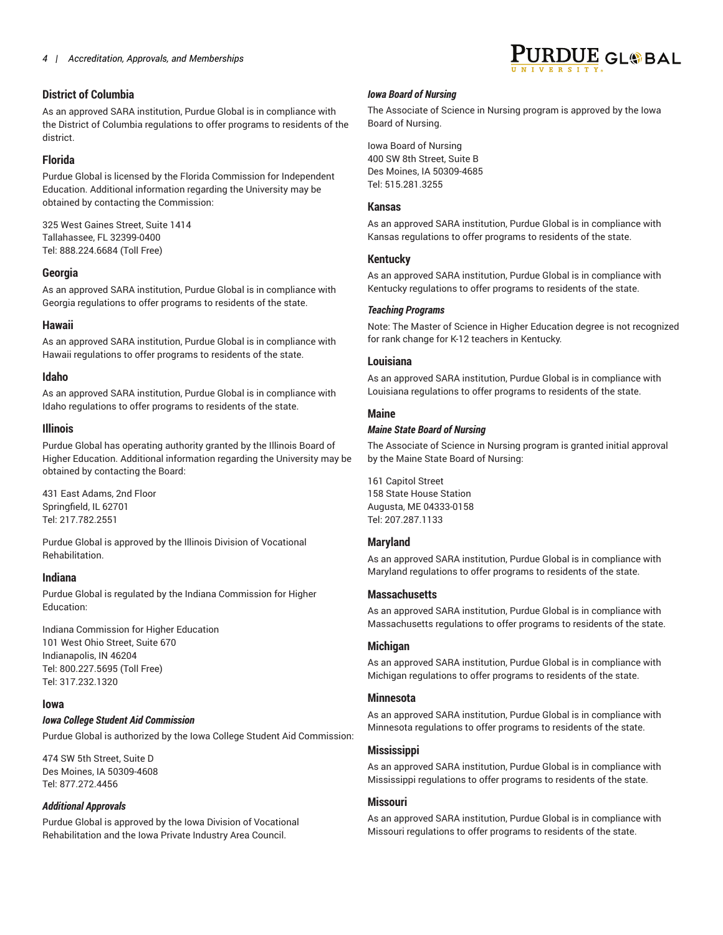#### **District of Columbia**

As an approved SARA institution, Purdue Global is in compliance with the District of Columbia regulations to offer programs to residents of the district.

#### **Florida**

Purdue Global is licensed by the Florida Commission for Independent Education. Additional information regarding the University may be obtained by contacting the Commission:

325 West Gaines Street, Suite 1414 Tallahassee, FL 32399-0400 Tel: 888.224.6684 (Toll Free)

#### **Georgia**

As an approved SARA institution, Purdue Global is in compliance with Georgia regulations to offer programs to residents of the state.

#### **Hawaii**

As an approved SARA institution, Purdue Global is in compliance with Hawaii regulations to offer programs to residents of the state.

#### **Idaho**

As an approved SARA institution, Purdue Global is in compliance with Idaho regulations to offer programs to residents of the state.

#### **Illinois**

Purdue Global has operating authority granted by the Illinois Board of Higher Education. Additional information regarding the University may be obtained by contacting the Board:

431 East Adams, 2nd Floor Springfield, IL 62701 Tel: 217.782.2551

Purdue Global is approved by the Illinois Division of Vocational Rehabilitation.

#### **Indiana**

Purdue Global is regulated by the Indiana Commission for Higher Education:

Indiana Commission for Higher Education 101 West Ohio Street, Suite 670 Indianapolis, IN 46204 Tel: 800.227.5695 (Toll Free) Tel: 317.232.1320

#### **Iowa**

#### *Iowa College Student Aid Commission*

Purdue Global is authorized by the Iowa College Student Aid Commission:

474 SW 5th Street, Suite D Des Moines, IA 50309-4608 Tel: 877.272.4456

#### *Additional Approvals*

Purdue Global is approved by the Iowa Division of Vocational Rehabilitation and the Iowa Private Industry Area Council.

#### *Iowa Board of Nursing*

The Associate of Science in Nursing program is approved by the Iowa Board of Nursing.

Iowa Board of Nursing 400 SW 8th Street, Suite B Des Moines, IA 50309-4685 Tel: 515.281.3255

#### **Kansas**

As an approved SARA institution, Purdue Global is in compliance with Kansas regulations to offer programs to residents of the state.

#### **Kentucky**

As an approved SARA institution, Purdue Global is in compliance with Kentucky regulations to offer programs to residents of the state.

#### *Teaching Programs*

Note: The Master of Science in Higher Education degree is not recognized for rank change for K-12 teachers in Kentucky.

#### **Louisiana**

As an approved SARA institution, Purdue Global is in compliance with Louisiana regulations to offer programs to residents of the state.

#### **Maine**

#### *Maine State Board of Nursing*

The Associate of Science in Nursing program is granted initial approval by the Maine State Board of Nursing:

161 Capitol Street 158 State House Station Augusta, ME 04333-0158 Tel: 207.287.1133

#### **Maryland**

As an approved SARA institution, Purdue Global is in compliance with Maryland regulations to offer programs to residents of the state.

#### **Massachusetts**

As an approved SARA institution, Purdue Global is in compliance with Massachusetts regulations to offer programs to residents of the state.

#### **Michigan**

As an approved SARA institution, Purdue Global is in compliance with Michigan regulations to offer programs to residents of the state.

#### **Minnesota**

As an approved SARA institution, Purdue Global is in compliance with Minnesota regulations to offer programs to residents of the state.

#### **Mississippi**

As an approved SARA institution, Purdue Global is in compliance with Mississippi regulations to offer programs to residents of the state.

#### **Missouri**

As an approved SARA institution, Purdue Global is in compliance with Missouri regulations to offer programs to residents of the state.

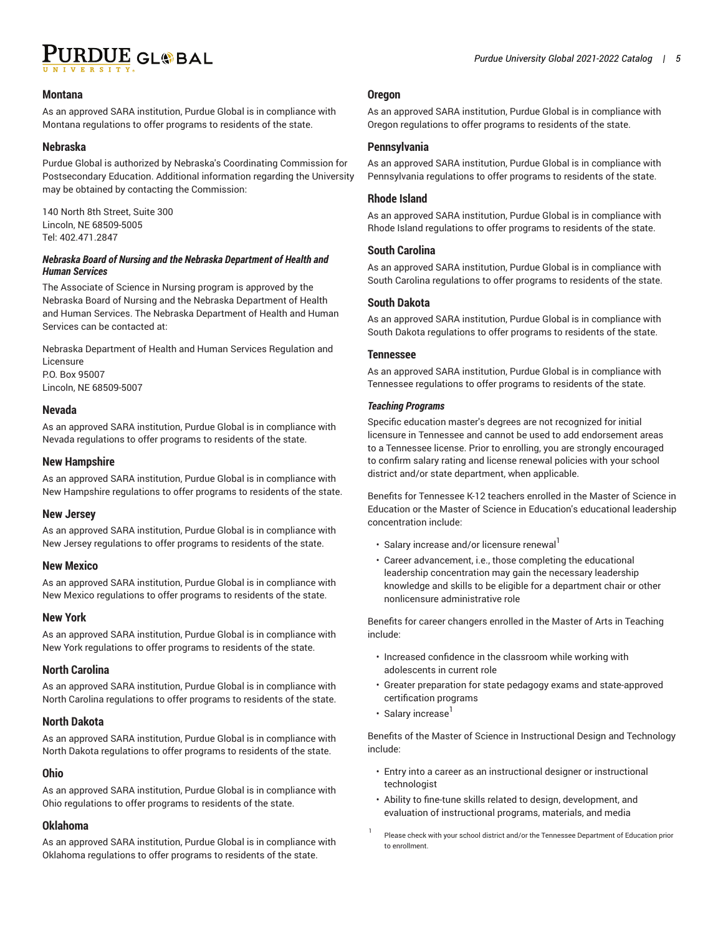

#### **Montana**

As an approved SARA institution, Purdue Global is in compliance with Montana regulations to offer programs to residents of the state.

#### **Nebraska**

Purdue Global is authorized by Nebraska's Coordinating Commission for Postsecondary Education. Additional information regarding the University may be obtained by contacting the Commission:

140 North 8th Street, Suite 300 Lincoln, NE 68509-5005 Tel: 402.471.2847

#### *Nebraska Board of Nursing and the Nebraska Department of Health and Human Services*

The Associate of Science in Nursing program is approved by the Nebraska Board of Nursing and the Nebraska Department of Health and Human Services. The Nebraska Department of Health and Human Services can be contacted at:

Nebraska Department of Health and Human Services Regulation and Licensure P.O. Box 95007 Lincoln, NE 68509-5007

#### **Nevada**

As an approved SARA institution, Purdue Global is in compliance with Nevada regulations to offer programs to residents of the state.

#### **New Hampshire**

As an approved SARA institution, Purdue Global is in compliance with New Hampshire regulations to offer programs to residents of the state.

#### **New Jersey**

As an approved SARA institution, Purdue Global is in compliance with New Jersey regulations to offer programs to residents of the state.

#### **New Mexico**

As an approved SARA institution, Purdue Global is in compliance with New Mexico regulations to offer programs to residents of the state.

#### **New York**

As an approved SARA institution, Purdue Global is in compliance with New York regulations to offer programs to residents of the state.

#### **North Carolina**

As an approved SARA institution, Purdue Global is in compliance with North Carolina regulations to offer programs to residents of the state.

#### **North Dakota**

As an approved SARA institution, Purdue Global is in compliance with North Dakota regulations to offer programs to residents of the state.

#### **Ohio**

As an approved SARA institution, Purdue Global is in compliance with Ohio regulations to offer programs to residents of the state.

#### **Oklahoma**

As an approved SARA institution, Purdue Global is in compliance with Oklahoma regulations to offer programs to residents of the state.

#### **Oregon**

As an approved SARA institution, Purdue Global is in compliance with Oregon regulations to offer programs to residents of the state.

#### **Pennsylvania**

As an approved SARA institution, Purdue Global is in compliance with Pennsylvania regulations to offer programs to residents of the state.

#### **Rhode Island**

As an approved SARA institution, Purdue Global is in compliance with Rhode Island regulations to offer programs to residents of the state.

#### **South Carolina**

As an approved SARA institution, Purdue Global is in compliance with South Carolina regulations to offer programs to residents of the state.

#### **South Dakota**

As an approved SARA institution, Purdue Global is in compliance with South Dakota regulations to offer programs to residents of the state.

#### **Tennessee**

As an approved SARA institution, Purdue Global is in compliance with Tennessee regulations to offer programs to residents of the state.

#### *Teaching Programs*

Specific education master's degrees are not recognized for initial licensure in Tennessee and cannot be used to add endorsement areas to a Tennessee license. Prior to enrolling, you are strongly encouraged to confirm salary rating and license renewal policies with your school district and/or state department, when applicable.

Benefits for Tennessee K-12 teachers enrolled in the Master of Science in Education or the Master of Science in Education's educational leadership concentration include:

- $\cdot \,$  Salary increase and/or licensure renewal $^{\text{l}}$
- Career advancement, i.e., those completing the educational leadership concentration may gain the necessary leadership knowledge and skills to be eligible for a department chair or other nonlicensure administrative role

Benefits for career changers enrolled in the Master of Arts in Teaching include:

- Increased confidence in the classroom while working with adolescents in current role
- Greater preparation for state pedagogy exams and state-approved certification programs
- Salary increase<sup>1</sup>

1

Benefits of the Master of Science in Instructional Design and Technology include:

- Entry into a career as an instructional designer or instructional technologist
- Ability to fine-tune skills related to design, development, and evaluation of instructional programs, materials, and media
- Please check with your school district and/or the Tennessee Department of Education prior to enrollment.